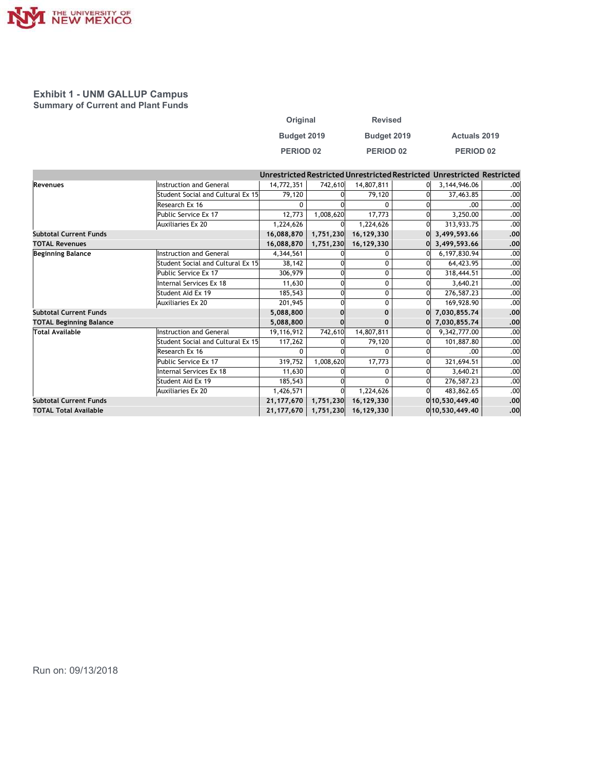

## Exhibit 1 - UNM GALLUP Campus Summary of Current and Plant Funds

| Original    |                | <b>Revised</b> |  |                                                                      |     |  |
|-------------|----------------|----------------|--|----------------------------------------------------------------------|-----|--|
| Budget 2019 |                | Budget 2019    |  | Actuals 2019                                                         |     |  |
| PERIOD 02   |                | PERIOD 02      |  | PERIOD 02                                                            |     |  |
|             |                |                |  | estricted Restricted Unrestricted Restricted Unrestricted Restricted |     |  |
| 4,772,351   | 742,610        | 14,807,811     |  | 3,144,946.06<br>0                                                    | .00 |  |
| 79,120      | $\overline{0}$ | 79,120         |  | <sub>0</sub><br>37,463.85                                            | .00 |  |

| THE UNIVERSITY OF NEW MEXICO.                                                     |                                   |                      |           |                                                                         |                          |            |
|-----------------------------------------------------------------------------------|-----------------------------------|----------------------|-----------|-------------------------------------------------------------------------|--------------------------|------------|
|                                                                                   |                                   |                      |           |                                                                         |                          |            |
|                                                                                   |                                   |                      |           |                                                                         |                          |            |
|                                                                                   |                                   |                      |           |                                                                         |                          |            |
|                                                                                   |                                   |                      |           |                                                                         |                          |            |
|                                                                                   |                                   |                      |           |                                                                         |                          |            |
| <b>Exhibit 1 - UNM GALLUP Campus</b><br><b>Summary of Current and Plant Funds</b> |                                   |                      |           |                                                                         |                          |            |
|                                                                                   |                                   |                      |           |                                                                         |                          |            |
|                                                                                   |                                   | Original             |           | <b>Revised</b>                                                          |                          |            |
|                                                                                   |                                   | Budget 2019          |           | Budget 2019                                                             | <b>Actuals 2019</b>      |            |
|                                                                                   |                                   | PERIOD 02            |           | PERIOD 02                                                               | PERIOD 02                |            |
|                                                                                   |                                   |                      |           |                                                                         |                          |            |
|                                                                                   |                                   |                      |           | Unrestricted Restricted Unrestricted Restricted Unrestricted Restricted |                          |            |
| Revenues                                                                          | Instruction and General           | 14,772,351           | 742,610   | 14,807,811                                                              | 3,144,946.06             | .00        |
|                                                                                   | Student Social and Cultural Ex 15 | 79,120               |           | 79,120                                                                  | 37,463.85                | .00        |
|                                                                                   | Research Ex 16                    | $\mathbf{0}$         |           | $\mathbf{0}$                                                            | .00.                     | .00        |
|                                                                                   | Public Service Ex 17              | 12,773               | 1,008,620 | 17,773                                                                  | 3,250.00                 | .00        |
|                                                                                   | Auxiliaries Ex 20                 | 1,224,626            |           | 1,224,626                                                               | 313,933.75               | .00        |
| <b>Subtotal Current Funds</b>                                                     |                                   | 16,088,870           | 1,751,230 | 16,129,330                                                              | $0$ 3,499,593.66         | .00        |
| <b>TOTAL Revenues</b>                                                             |                                   | 16,088,870           | 1,751,230 | 16,129,330                                                              | 3,499,593.66             | .00        |
| <b>Beginning Balance</b>                                                          | Instruction and General           | 4,344,561            |           | 0                                                                       | 6,197,830.94             | .00        |
|                                                                                   | Student Social and Cultural Ex 15 | 38,142               |           | 0                                                                       | 64,423.95                | .00        |
|                                                                                   | Public Service Ex 17              | 306,979              |           | 0                                                                       | 318,444.51               | .00        |
|                                                                                   | Internal Services Ex 18           | 11,630               |           | $\mathbf 0$                                                             | 3,640.21                 | .00        |
|                                                                                   | Student Aid Ex 19                 | 185,543              |           | 0<br>0                                                                  | 276,587.23<br>169,928.90 | .00<br>.00 |
| <b>Subtotal Current Funds</b>                                                     | Auxiliaries Ex 20                 | 201,945<br>5,088,800 | 0         | $\mathbf{0}$                                                            | $0$ 7,030,855.74         | .00        |
| <b>TOTAL Beginning Balance</b>                                                    |                                   | 5,088,800            |           | $\mathbf{0}$                                                            | 0 7,030,855.74           | .00        |
| Total Available                                                                   | Instruction and General           | 19,116,912           | 742,610   | 14,807,811                                                              | 9,342,777.00             | .00        |
|                                                                                   | Student Social and Cultural Ex 15 | 117,262              |           | 79,120                                                                  | 101,887.80               | .00        |
|                                                                                   | Research Ex 16                    | 0                    | $\Omega$  | $\mathbf 0$                                                             | .00.                     | .00        |
|                                                                                   | Public Service Ex 17              | 319,752              | 1,008,620 | 17,773                                                                  | 321,694.51               | .00        |
|                                                                                   | Internal Services Ex 18           | 11,630               |           | $\mathbf 0$                                                             | 3,640.21                 | .00        |
|                                                                                   | Student Aid Ex 19                 | 185,543              |           | $\mathbf 0$                                                             | 276,587.23               | .00        |
|                                                                                   | <b>Auxiliaries Ex 20</b>          | 1,426,571            |           | 1,224,626                                                               | 483,862.65               | .00        |
| <b>Subtotal Current Funds</b>                                                     |                                   | 21, 177, 670         |           | 1,751,230 16,129,330                                                    | 0 10,530,449.40          | .00        |
|                                                                                   |                                   | 21,177,670           | 1,751,230 | 16,129,330                                                              | 0 10,530,449.40          | .00        |